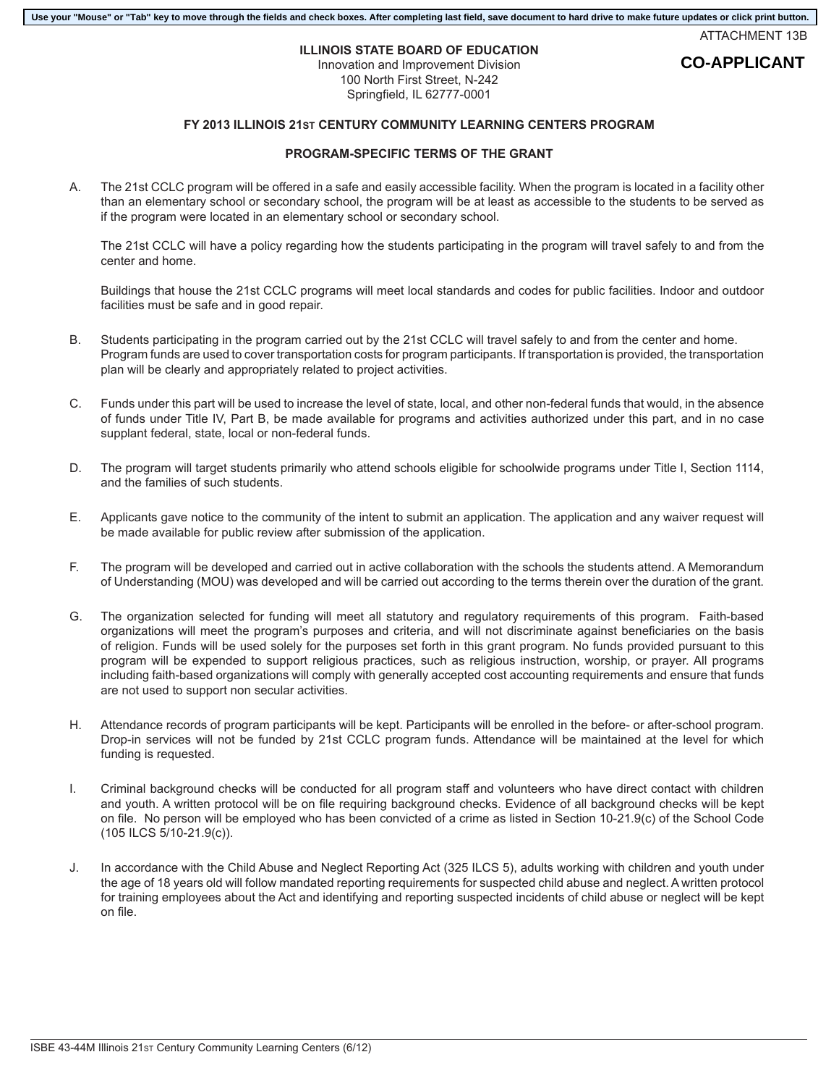#### **Use your "Mouse" or "Tab" key to move through the fields and check boxes. After completing last field, save document to hard drive to make future updates or click print button.**

ATTACHMENT 13B

# **ILLINOIS STATE BOARD OF EDUCATION**

Innovation and Improvement Division 100 North First Street, N-242 Springfield, IL 62777-0001

## **FY 2013 ILLINOIS 21ST CENTURY COMMUNITY LEARNING CENTERS PROGRAM**

### **PROGRAM-SPECIFIC TERMS OF THE GRANT**

A. The 21st CCLC program will be offered in a safe and easily accessible facility. When the program is located in a facility other than an elementary school or secondary school, the program will be at least as accessible to the students to be served as if the program were located in an elementary school or secondary school.

The 21st CCLC will have a policy regarding how the students participating in the program will travel safely to and from the center and home.

Buildings that house the 21st CCLC programs will meet local standards and codes for public facilities. Indoor and outdoor facilities must be safe and in good repair.

- B. Students participating in the program carried out by the 21st CCLC will travel safely to and from the center and home. Program funds are used to cover transportation costs for program participants. If transportation is provided, the transportation plan will be clearly and appropriately related to project activities.
- C. Funds under this part will be used to increase the level of state, local, and other non-federal funds that would, in the absence of funds under Title IV, Part B, be made available for programs and activities authorized under this part, and in no case supplant federal, state, local or non-federal funds.
- D. The program will target students primarily who attend schools eligible for schoolwide programs under Title I, Section 1114, and the families of such students.
- E. Applicants gave notice to the community of the intent to submit an application. The application and any waiver request will be made available for public review after submission of the application.
- F. The program will be developed and carried out in active collaboration with the schools the students attend. A Memorandum of Understanding (MOU) was developed and will be carried out according to the terms therein over the duration of the grant.
- G. The organization selected for funding will meet all statutory and regulatory requirements of this program. Faith-based organizations will meet the program's purposes and criteria, and will not discriminate against beneficiaries on the basis of religion. Funds will be used solely for the purposes set forth in this grant program. No funds provided pursuant to this program will be expended to support religious practices, such as religious instruction, worship, or prayer. All programs including faith-based organizations will comply with generally accepted cost accounting requirements and ensure that funds are not used to support non secular activities.
- H. Attendance records of program participants will be kept. Participants will be enrolled in the before- or after-school program. Drop-in services will not be funded by 21st CCLC program funds. Attendance will be maintained at the level for which funding is requested.
- I. Criminal background checks will be conducted for all program staff and volunteers who have direct contact with children and youth. A written protocol will be on file requiring background checks. Evidence of all background checks will be kept on file. No person will be employed who has been convicted of a crime as listed in Section 10-21.9(c) of the School Code (105 ILCS 5/10-21.9(c)).
- J. In accordance with the Child Abuse and Neglect Reporting Act (325 ILCS 5), adults working with children and youth under the age of 18 years old will follow mandated reporting requirements for suspected child abuse and neglect. A written protocol for training employees about the Act and identifying and reporting suspected incidents of child abuse or neglect will be kept on file.

## **CO-APPLICANT**